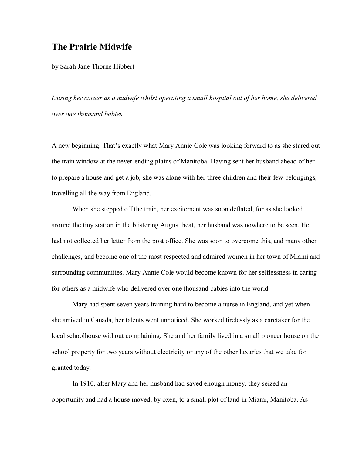## **The Prairie Midwife**

by Sarah Jane Thorne Hibbert

*During her career as a midwife whilst operating a small hospital out of her home, she delivered over one thousand babies.*

A new beginning. That's exactly what Mary Annie Cole was looking forward to as she stared out the train window at the never-ending plains of Manitoba. Having sent her husband ahead of her to prepare a house and get a job, she was alone with her three children and their few belongings, travelling all the way from England.

When she stepped off the train, her excitement was soon deflated, for as she looked around the tiny station in the blistering August heat, her husband was nowhere to be seen. He had not collected her letter from the post office. She was soon to overcome this, and many other challenges, and become one of the most respected and admired women in her town of Miami and surrounding communities. Mary Annie Cole would become known for her selflessness in caring for others as a midwife who delivered over one thousand babies into the world.

Mary had spent seven years training hard to become a nurse in England, and yet when she arrived in Canada, her talents went unnoticed. She worked tirelessly as a caretaker for the local schoolhouse without complaining. She and her family lived in a small pioneer house on the school property for two years without electricity or any of the other luxuries that we take for granted today.

In 1910, after Mary and her husband had saved enough money, they seized an opportunity and had a house moved, by oxen, to a small plot of land in Miami, Manitoba. As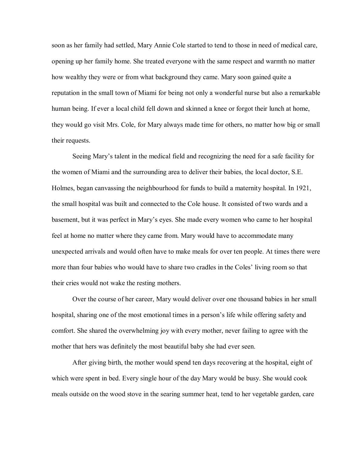soon as her family had settled, Mary Annie Cole started to tend to those in need of medical care, opening up her family home. She treated everyone with the same respect and warmth no matter how wealthy they were or from what background they came. Mary soon gained quite a reputation in the small town of Miami for being not only a wonderful nurse but also a remarkable human being. If ever a local child fell down and skinned a knee or forgot their lunch at home, they would go visit Mrs. Cole, for Mary always made time for others, no matter how big or small their requests.

Seeing Mary's talent in the medical field and recognizing the need for a safe facility for the women of Miami and the surrounding area to deliver their babies, the local doctor, S.E. Holmes, began canvassing the neighbourhood for funds to build a maternity hospital. In 1921, the small hospital was built and connected to the Cole house. It consisted of two wards and a basement, but it was perfect in Mary's eyes. She made every women who came to her hospital feel at home no matter where they came from. Mary would have to accommodate many unexpected arrivals and would often have to make meals for over ten people. At times there were more than four babies who would have to share two cradles in the Coles' living room so that their cries would not wake the resting mothers.

Over the course of her career, Mary would deliver over one thousand babies in her small hospital, sharing one of the most emotional times in a person's life while offering safety and comfort. She shared the overwhelming joy with every mother, never failing to agree with the mother that hers was definitely the most beautiful baby she had ever seen.

After giving birth, the mother would spend ten days recovering at the hospital, eight of which were spent in bed. Every single hour of the day Mary would be busy. She would cook meals outside on the wood stove in the searing summer heat, tend to her vegetable garden, care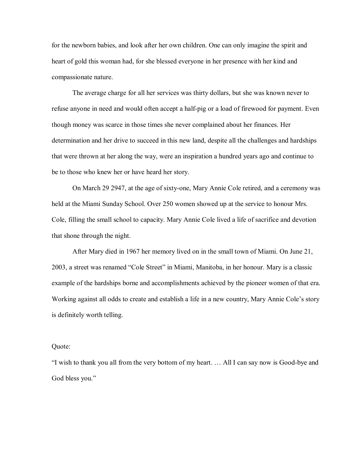for the newborn babies, and look after her own children. One can only imagine the spirit and heart of gold this woman had, for she blessed everyone in her presence with her kind and compassionate nature.

The average charge for all her services was thirty dollars, but she was known never to refuse anyone in need and would often accept a half-pig or a load of firewood for payment. Even though money was scarce in those times she never complained about her finances. Her determination and her drive to succeed in this new land, despite all the challenges and hardships that were thrown at her along the way, were an inspiration a hundred years ago and continue to be to those who knew her or have heard her story.

On March 29 2947, at the age of sixtyone, Mary Annie Cole retired, and a ceremony was held at the Miami Sunday School. Over 250 women showed up at the service to honour Mrs. Cole, filling the small school to capacity. Mary Annie Cole lived a life of sacrifice and devotion that shone through the night.

After Mary died in 1967 her memory lived on in the small town of Miami. On June 21, 2003, a street was renamed "Cole Street" in Miami, Manitoba, in her honour. Mary is a classic example of the hardships borne and accomplishments achieved by the pioneer women of that era. Working against all odds to create and establish a life in a new country, Mary Annie Cole's story is definitely worth telling.

## Quote:

"I wish to thank you all from the very bottom of my heart. ... All I can say now is Good-bye and God bless you."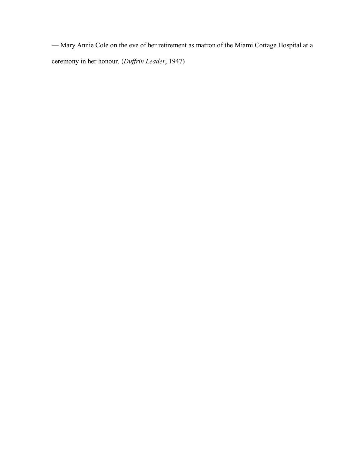— Mary Annie Cole on the eve of her retirement as matron of the Miami Cottage Hospital at a ceremony in her honour. (*Duffrin Leader*, 1947)